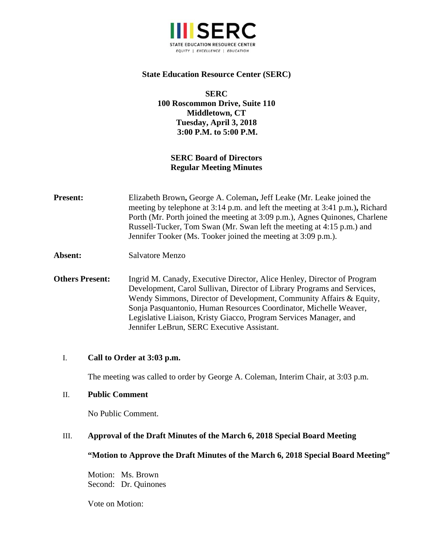

## **State Education Resource Center (SERC)**

**SERC 100 Roscommon Drive, Suite 110 Middletown, CT Tuesday, April 3, 2018 3:00 P.M. to 5:00 P.M.** 

# **SERC Board of Directors Regular Meeting Minutes**

- **Present:** Elizabeth Brown, George A. Coleman, Jeff Leake (Mr. Leake joined the meeting by telephone at 3:14 p.m. and left the meeting at 3:41 p.m.)**,** Richard Porth (Mr. Porth joined the meeting at 3:09 p.m.), Agnes Quinones, Charlene Russell-Tucker, Tom Swan (Mr. Swan left the meeting at 4:15 p.m.) and Jennifer Tooker (Ms. Tooker joined the meeting at 3:09 p.m.).
- **Absent:** Salvatore Menzo
- **Others Present:** Ingrid M. Canady, Executive Director, Alice Henley, Director of Program Development, Carol Sullivan, Director of Library Programs and Services, Wendy Simmons, Director of Development, Community Affairs & Equity, Sonja Pasquantonio, Human Resources Coordinator, Michelle Weaver, Legislative Liaison, Kristy Giacco, Program Services Manager, and Jennifer LeBrun, SERC Executive Assistant.

### I. **Call to Order at 3:03 p.m.**

The meeting was called to order by George A. Coleman, Interim Chair, at 3:03 p.m.

#### II. **Public Comment**

No Public Comment.

### III. **Approval of the Draft Minutes of the March 6, 2018 Special Board Meeting**

#### **"Motion to Approve the Draft Minutes of the March 6, 2018 Special Board Meeting"**

Motion: Ms. Brown Second: Dr. Quinones

Vote on Motion: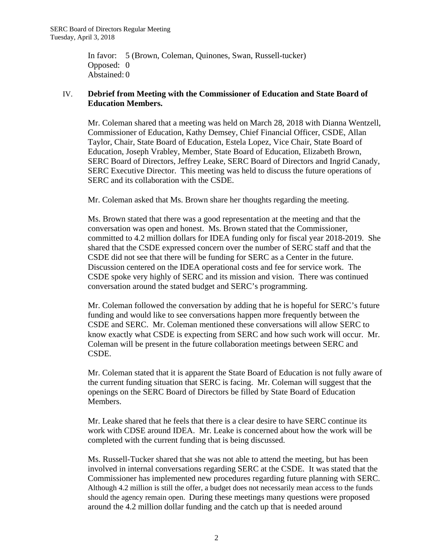In favor: 5 (Brown, Coleman, Quinones, Swan, Russell-tucker) Opposed: 0 Abstained: 0

## IV. **Debrief from Meeting with the Commissioner of Education and State Board of Education Members.**

Mr. Coleman shared that a meeting was held on March 28, 2018 with Dianna Wentzell, Commissioner of Education, Kathy Demsey, Chief Financial Officer, CSDE, Allan Taylor, Chair, State Board of Education, Estela Lopez, Vice Chair, State Board of Education, Joseph Vrabley, Member, State Board of Education, Elizabeth Brown, SERC Board of Directors, Jeffrey Leake, SERC Board of Directors and Ingrid Canady, SERC Executive Director. This meeting was held to discuss the future operations of SERC and its collaboration with the CSDE.

Mr. Coleman asked that Ms. Brown share her thoughts regarding the meeting.

Ms. Brown stated that there was a good representation at the meeting and that the conversation was open and honest. Ms. Brown stated that the Commissioner, committed to 4.2 million dollars for IDEA funding only for fiscal year 2018-2019. She shared that the CSDE expressed concern over the number of SERC staff and that the CSDE did not see that there will be funding for SERC as a Center in the future. Discussion centered on the IDEA operational costs and fee for service work. The CSDE spoke very highly of SERC and its mission and vision. There was continued conversation around the stated budget and SERC's programming.

Mr. Coleman followed the conversation by adding that he is hopeful for SERC's future funding and would like to see conversations happen more frequently between the CSDE and SERC. Mr. Coleman mentioned these conversations will allow SERC to know exactly what CSDE is expecting from SERC and how such work will occur. Mr. Coleman will be present in the future collaboration meetings between SERC and CSDE.

Mr. Coleman stated that it is apparent the State Board of Education is not fully aware of the current funding situation that SERC is facing. Mr. Coleman will suggest that the openings on the SERC Board of Directors be filled by State Board of Education Members.

Mr. Leake shared that he feels that there is a clear desire to have SERC continue its work with CDSE around IDEA. Mr. Leake is concerned about how the work will be completed with the current funding that is being discussed.

Ms. Russell-Tucker shared that she was not able to attend the meeting, but has been involved in internal conversations regarding SERC at the CSDE. It was stated that the Commissioner has implemented new procedures regarding future planning with SERC. Although 4.2 million is still the offer, a budget does not necessarily mean access to the funds should the agency remain open. During these meetings many questions were proposed around the 4.2 million dollar funding and the catch up that is needed around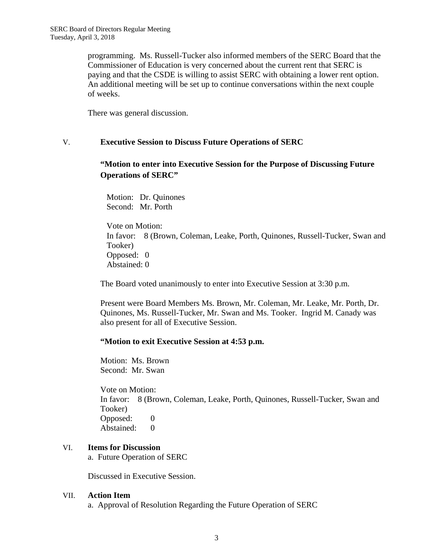programming. Ms. Russell-Tucker also informed members of the SERC Board that the Commissioner of Education is very concerned about the current rent that SERC is paying and that the CSDE is willing to assist SERC with obtaining a lower rent option. An additional meeting will be set up to continue conversations within the next couple of weeks.

There was general discussion.

### V. **Executive Session to Discuss Future Operations of SERC**

# **"Motion to enter into Executive Session for the Purpose of Discussing Future Operations of SERC"**

 Motion: Dr. Quinones Second: Mr. Porth

 Vote on Motion: In favor: 8 (Brown, Coleman, Leake, Porth, Quinones, Russell-Tucker, Swan and Tooker) Opposed: 0 Abstained: 0

The Board voted unanimously to enter into Executive Session at 3:30 p.m.

Present were Board Members Ms. Brown, Mr. Coleman, Mr. Leake, Mr. Porth, Dr. Quinones, Ms. Russell-Tucker, Mr. Swan and Ms. Tooker. Ingrid M. Canady was also present for all of Executive Session.

### **"Motion to exit Executive Session at 4:53 p.m.**

Motion: Ms. Brown Second: Mr. Swan

Vote on Motion: In favor: 8 (Brown, Coleman, Leake, Porth, Quinones, Russell-Tucker, Swan and Tooker) Opposed: 0 Abstained: 0

### VI. **Items for Discussion**

a. Future Operation of SERC

Discussed in Executive Session.

### VII. **Action Item**

a. Approval of Resolution Regarding the Future Operation of SERC